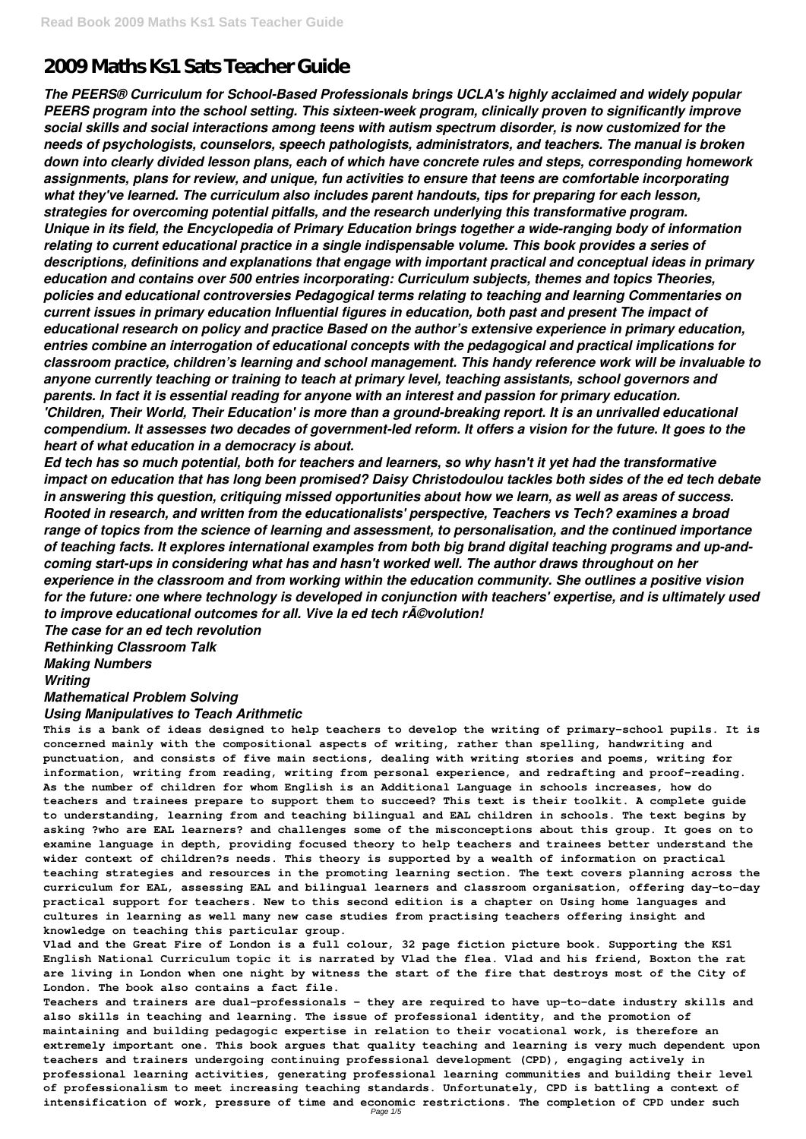# **2009 Maths Ks1 Sats Teacher Guide**

*The PEERS® Curriculum for School-Based Professionals brings UCLA's highly acclaimed and widely popular PEERS program into the school setting. This sixteen-week program, clinically proven to significantly improve social skills and social interactions among teens with autism spectrum disorder, is now customized for the needs of psychologists, counselors, speech pathologists, administrators, and teachers. The manual is broken down into clearly divided lesson plans, each of which have concrete rules and steps, corresponding homework assignments, plans for review, and unique, fun activities to ensure that teens are comfortable incorporating what they've learned. The curriculum also includes parent handouts, tips for preparing for each lesson, strategies for overcoming potential pitfalls, and the research underlying this transformative program. Unique in its field, the Encyclopedia of Primary Education brings together a wide-ranging body of information relating to current educational practice in a single indispensable volume. This book provides a series of descriptions, definitions and explanations that engage with important practical and conceptual ideas in primary education and contains over 500 entries incorporating: Curriculum subjects, themes and topics Theories, policies and educational controversies Pedagogical terms relating to teaching and learning Commentaries on current issues in primary education Influential figures in education, both past and present The impact of educational research on policy and practice Based on the author's extensive experience in primary education, entries combine an interrogation of educational concepts with the pedagogical and practical implications for classroom practice, children's learning and school management. This handy reference work will be invaluable to anyone currently teaching or training to teach at primary level, teaching assistants, school governors and parents. In fact it is essential reading for anyone with an interest and passion for primary education. 'Children, Their World, Their Education' is more than a ground-breaking report. It is an unrivalled educational compendium. It assesses two decades of government-led reform. It offers a vision for the future. It goes to the heart of what education in a democracy is about.*

*Ed tech has so much potential, both for teachers and learners, so why hasn't it yet had the transformative impact on education that has long been promised? Daisy Christodoulou tackles both sides of the ed tech debate in answering this question, critiquing missed opportunities about how we learn, as well as areas of success. Rooted in research, and written from the educationalists' perspective, Teachers vs Tech? examines a broad range of topics from the science of learning and assessment, to personalisation, and the continued importance of teaching facts. It explores international examples from both big brand digital teaching programs and up-andcoming start-ups in considering what has and hasn't worked well. The author draws throughout on her experience in the classroom and from working within the education community. She outlines a positive vision for the future: one where technology is developed in conjunction with teachers' expertise, and is ultimately used to improve educational outcomes for all. Vive la ed tech révolution!*

*The case for an ed tech revolution*

*Rethinking Classroom Talk*

*Making Numbers*

*Writing*

## *Mathematical Problem Solving*

#### *Using Manipulatives to Teach Arithmetic*

**This is a bank of ideas designed to help teachers to develop the writing of primary-school pupils. It is concerned mainly with the compositional aspects of writing, rather than spelling, handwriting and punctuation, and consists of five main sections, dealing with writing stories and poems, writing for information, writing from reading, writing from personal experience, and redrafting and proof-reading. As the number of children for whom English is an Additional Language in schools increases, how do teachers and trainees prepare to support them to succeed? This text is their toolkit. A complete guide to understanding, learning from and teaching bilingual and EAL children in schools. The text begins by asking ?who are EAL learners? and challenges some of the misconceptions about this group. It goes on to examine language in depth, providing focused theory to help teachers and trainees better understand the wider context of children?s needs. This theory is supported by a wealth of information on practical teaching strategies and resources in the promoting learning section. The text covers planning across the curriculum for EAL, assessing EAL and bilingual learners and classroom organisation, offering day-to-day practical support for teachers. New to this second edition is a chapter on Using home languages and cultures in learning as well many new case studies from practising teachers offering insight and knowledge on teaching this particular group.**

**Vlad and the Great Fire of London is a full colour, 32 page fiction picture book. Supporting the KS1 English National Curriculum topic it is narrated by Vlad the flea. Vlad and his friend, Boxton the rat are living in London when one night by witness the start of the fire that destroys most of the City of London. The book also contains a fact file.**

**Teachers and trainers are dual-professionals – they are required to have up-to-date industry skills and also skills in teaching and learning. The issue of professional identity, and the promotion of maintaining and building pedagogic expertise in relation to their vocational work, is therefore an extremely important one. This book argues that quality teaching and learning is very much dependent upon teachers and trainers undergoing continuing professional development (CPD), engaging actively in professional learning activities, generating professional learning communities and building their level of professionalism to meet increasing teaching standards. Unfortunately, CPD is battling a context of intensification of work, pressure of time and economic restrictions. The completion of CPD under such** Page 1/5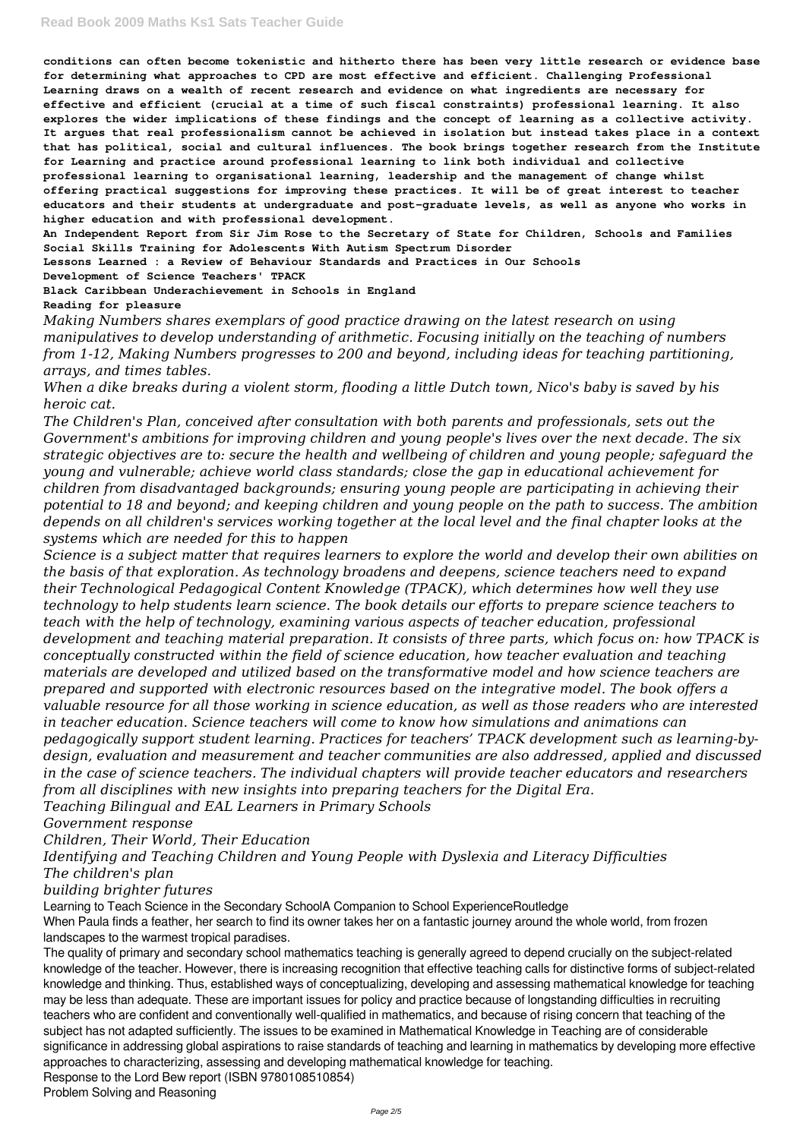**conditions can often become tokenistic and hitherto there has been very little research or evidence base for determining what approaches to CPD are most effective and efficient. Challenging Professional Learning draws on a wealth of recent research and evidence on what ingredients are necessary for effective and efficient (crucial at a time of such fiscal constraints) professional learning. It also explores the wider implications of these findings and the concept of learning as a collective activity. It argues that real professionalism cannot be achieved in isolation but instead takes place in a context that has political, social and cultural influences. The book brings together research from the Institute for Learning and practice around professional learning to link both individual and collective professional learning to organisational learning, leadership and the management of change whilst offering practical suggestions for improving these practices. It will be of great interest to teacher educators and their students at undergraduate and post-graduate levels, as well as anyone who works in higher education and with professional development.**

**An Independent Report from Sir Jim Rose to the Secretary of State for Children, Schools and Families Social Skills Training for Adolescents With Autism Spectrum Disorder**

**Lessons Learned : a Review of Behaviour Standards and Practices in Our Schools Development of Science Teachers' TPACK**

**Black Caribbean Underachievement in Schools in England**

**Reading for pleasure**

*Making Numbers shares exemplars of good practice drawing on the latest research on using manipulatives to develop understanding of arithmetic. Focusing initially on the teaching of numbers from 1-12, Making Numbers progresses to 200 and beyond, including ideas for teaching partitioning, arrays, and times tables.*

*When a dike breaks during a violent storm, flooding a little Dutch town, Nico's baby is saved by his heroic cat.*

*The Children's Plan, conceived after consultation with both parents and professionals, sets out the Government's ambitions for improving children and young people's lives over the next decade. The six strategic objectives are to: secure the health and wellbeing of children and young people; safeguard the young and vulnerable; achieve world class standards; close the gap in educational achievement for children from disadvantaged backgrounds; ensuring young people are participating in achieving their potential to 18 and beyond; and keeping children and young people on the path to success. The ambition depends on all children's services working together at the local level and the final chapter looks at the systems which are needed for this to happen*

*Science is a subject matter that requires learners to explore the world and develop their own abilities on the basis of that exploration. As technology broadens and deepens, science teachers need to expand their Technological Pedagogical Content Knowledge (TPACK), which determines how well they use technology to help students learn science. The book details our efforts to prepare science teachers to teach with the help of technology, examining various aspects of teacher education, professional development and teaching material preparation. It consists of three parts, which focus on: how TPACK is conceptually constructed within the field of science education, how teacher evaluation and teaching materials are developed and utilized based on the transformative model and how science teachers are prepared and supported with electronic resources based on the integrative model. The book offers a valuable resource for all those working in science education, as well as those readers who are interested in teacher education. Science teachers will come to know how simulations and animations can pedagogically support student learning. Practices for teachers' TPACK development such as learning-bydesign, evaluation and measurement and teacher communities are also addressed, applied and discussed in the case of science teachers. The individual chapters will provide teacher educators and researchers from all disciplines with new insights into preparing teachers for the Digital Era. Teaching Bilingual and EAL Learners in Primary Schools Government response*

*Children, Their World, Their Education*

*Identifying and Teaching Children and Young People with Dyslexia and Literacy Difficulties*

*The children's plan*

*building brighter futures*

Learning to Teach Science in the Secondary SchoolA Companion to School ExperienceRoutledge When Paula finds a feather, her search to find its owner takes her on a fantastic journey around the whole world, from frozen landscapes to the warmest tropical paradises.

The quality of primary and secondary school mathematics teaching is generally agreed to depend crucially on the subject-related knowledge of the teacher. However, there is increasing recognition that effective teaching calls for distinctive forms of subject-related knowledge and thinking. Thus, established ways of conceptualizing, developing and assessing mathematical knowledge for teaching may be less than adequate. These are important issues for policy and practice because of longstanding difficulties in recruiting teachers who are confident and conventionally well-qualified in mathematics, and because of rising concern that teaching of the subject has not adapted sufficiently. The issues to be examined in Mathematical Knowledge in Teaching are of considerable significance in addressing global aspirations to raise standards of teaching and learning in mathematics by developing more effective approaches to characterizing, assessing and developing mathematical knowledge for teaching. Response to the Lord Bew report (ISBN 9780108510854) Problem Solving and Reasoning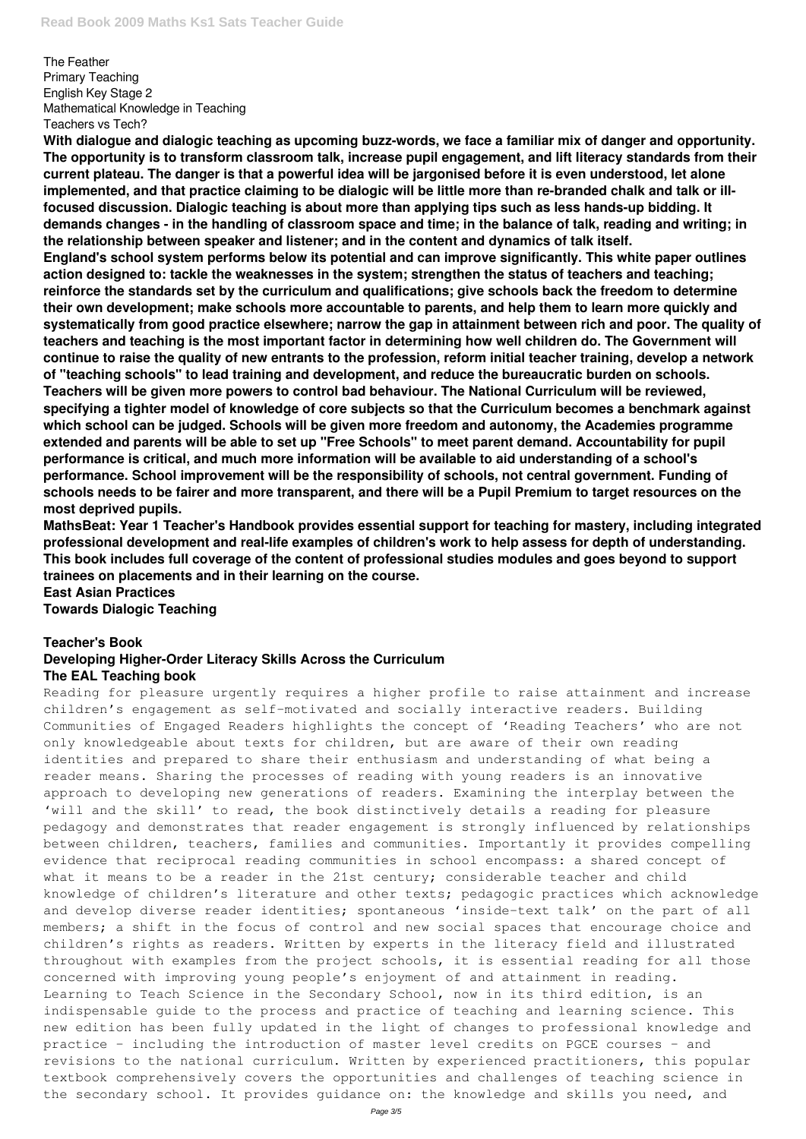The Feather Primary Teaching English Key Stage 2 Mathematical Knowledge in Teaching Teachers vs Tech?

**With dialogue and dialogic teaching as upcoming buzz-words, we face a familiar mix of danger and opportunity. The opportunity is to transform classroom talk, increase pupil engagement, and lift literacy standards from their current plateau. The danger is that a powerful idea will be jargonised before it is even understood, let alone implemented, and that practice claiming to be dialogic will be little more than re-branded chalk and talk or illfocused discussion. Dialogic teaching is about more than applying tips such as less hands-up bidding. It demands changes - in the handling of classroom space and time; in the balance of talk, reading and writing; in the relationship between speaker and listener; and in the content and dynamics of talk itself. England's school system performs below its potential and can improve significantly. This white paper outlines action designed to: tackle the weaknesses in the system; strengthen the status of teachers and teaching; reinforce the standards set by the curriculum and qualifications; give schools back the freedom to determine their own development; make schools more accountable to parents, and help them to learn more quickly and systematically from good practice elsewhere; narrow the gap in attainment between rich and poor. The quality of teachers and teaching is the most important factor in determining how well children do. The Government will continue to raise the quality of new entrants to the profession, reform initial teacher training, develop a network of "teaching schools" to lead training and development, and reduce the bureaucratic burden on schools. Teachers will be given more powers to control bad behaviour. The National Curriculum will be reviewed, specifying a tighter model of knowledge of core subjects so that the Curriculum becomes a benchmark against which school can be judged. Schools will be given more freedom and autonomy, the Academies programme extended and parents will be able to set up "Free Schools" to meet parent demand. Accountability for pupil performance is critical, and much more information will be available to aid understanding of a school's performance. School improvement will be the responsibility of schools, not central government. Funding of schools needs to be fairer and more transparent, and there will be a Pupil Premium to target resources on the most deprived pupils.**

**MathsBeat: Year 1 Teacher's Handbook provides essential support for teaching for mastery, including integrated professional development and real-life examples of children's work to help assess for depth of understanding. This book includes full coverage of the content of professional studies modules and goes beyond to support trainees on placements and in their learning on the course.**

## **East Asian Practices Towards Dialogic Teaching**

## **Teacher's Book Developing Higher-Order Literacy Skills Across the Curriculum The EAL Teaching book**

Reading for pleasure urgently requires a higher profile to raise attainment and increase children's engagement as self-motivated and socially interactive readers. Building Communities of Engaged Readers highlights the concept of 'Reading Teachers' who are not only knowledgeable about texts for children, but are aware of their own reading identities and prepared to share their enthusiasm and understanding of what being a reader means. Sharing the processes of reading with young readers is an innovative approach to developing new generations of readers. Examining the interplay between the 'will and the skill' to read, the book distinctively details a reading for pleasure pedagogy and demonstrates that reader engagement is strongly influenced by relationships between children, teachers, families and communities. Importantly it provides compelling evidence that reciprocal reading communities in school encompass: a shared concept of what it means to be a reader in the 21st century; considerable teacher and child knowledge of children's literature and other texts; pedagogic practices which acknowledge and develop diverse reader identities; spontaneous 'inside-text talk' on the part of all members; a shift in the focus of control and new social spaces that encourage choice and children's rights as readers. Written by experts in the literacy field and illustrated throughout with examples from the project schools, it is essential reading for all those concerned with improving young people's enjoyment of and attainment in reading. Learning to Teach Science in the Secondary School, now in its third edition, is an indispensable guide to the process and practice of teaching and learning science. This new edition has been fully updated in the light of changes to professional knowledge and practice – including the introduction of master level credits on PGCE courses – and revisions to the national curriculum. Written by experienced practitioners, this popular textbook comprehensively covers the opportunities and challenges of teaching science in the secondary school. It provides guidance on: the knowledge and skills you need, and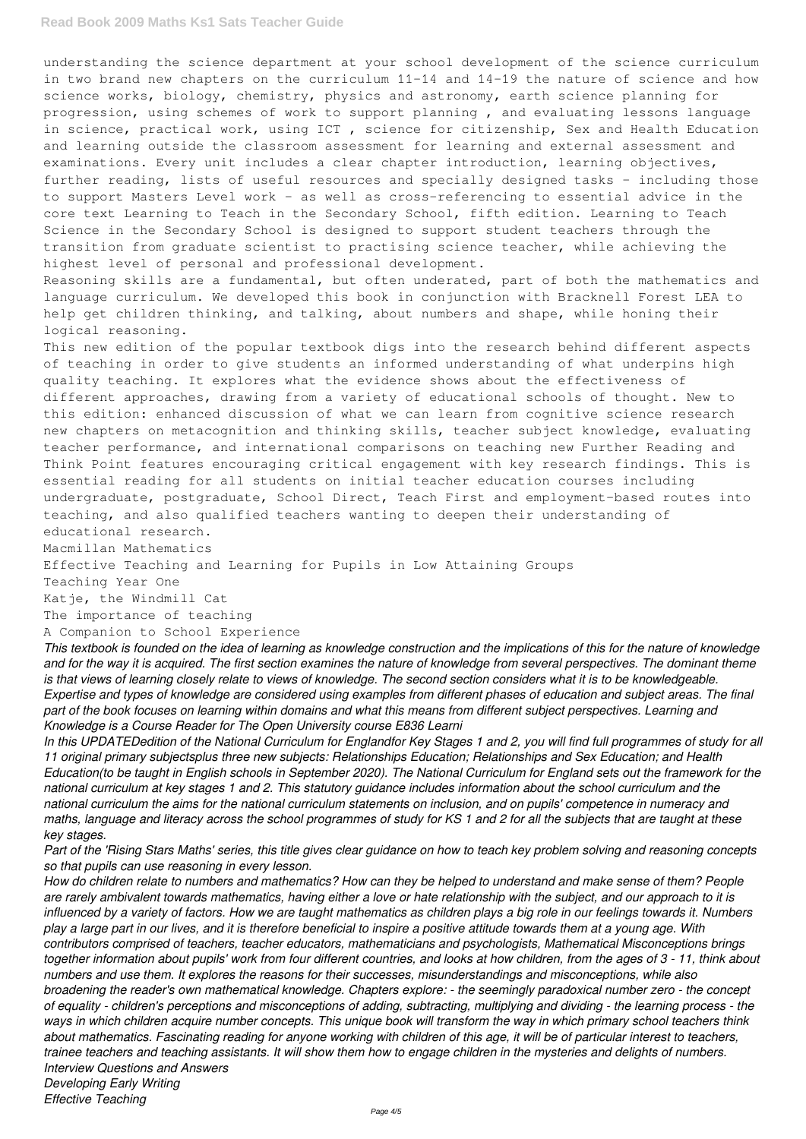#### **Read Book 2009 Maths Ks1 Sats Teacher Guide**

understanding the science department at your school development of the science curriculum in two brand new chapters on the curriculum 11-14 and 14-19 the nature of science and how science works, biology, chemistry, physics and astronomy, earth science planning for progression, using schemes of work to support planning , and evaluating lessons language in science, practical work, using ICT , science for citizenship, Sex and Health Education and learning outside the classroom assessment for learning and external assessment and examinations. Every unit includes a clear chapter introduction, learning objectives, further reading, lists of useful resources and specially designed tasks – including those to support Masters Level work – as well as cross-referencing to essential advice in the core text Learning to Teach in the Secondary School, fifth edition. Learning to Teach Science in the Secondary School is designed to support student teachers through the transition from graduate scientist to practising science teacher, while achieving the highest level of personal and professional development.

Reasoning skills are a fundamental, but often underated, part of both the mathematics and language curriculum. We developed this book in conjunction with Bracknell Forest LEA to help get children thinking, and talking, about numbers and shape, while honing their logical reasoning.

This new edition of the popular textbook digs into the research behind different aspects of teaching in order to give students an informed understanding of what underpins high quality teaching. It explores what the evidence shows about the effectiveness of different approaches, drawing from a variety of educational schools of thought. New to this edition: enhanced discussion of what we can learn from cognitive science research new chapters on metacognition and thinking skills, teacher subject knowledge, evaluating teacher performance, and international comparisons on teaching new Further Reading and Think Point features encouraging critical engagement with key research findings. This is essential reading for all students on initial teacher education courses including undergraduate, postgraduate, School Direct, Teach First and employment-based routes into teaching, and also qualified teachers wanting to deepen their understanding of educational research.

Macmillan Mathematics

Effective Teaching and Learning for Pupils in Low Attaining Groups

Teaching Year One

Katje, the Windmill Cat

The importance of teaching

A Companion to School Experience

*This textbook is founded on the idea of learning as knowledge construction and the implications of this for the nature of knowledge and for the way it is acquired. The first section examines the nature of knowledge from several perspectives. The dominant theme is that views of learning closely relate to views of knowledge. The second section considers what it is to be knowledgeable. Expertise and types of knowledge are considered using examples from different phases of education and subject areas. The final part of the book focuses on learning within domains and what this means from different subject perspectives. Learning and Knowledge is a Course Reader for The Open University course E836 Learni*

*In this UPDATEDedition of the National Curriculum for Englandfor Key Stages 1 and 2, you will find full programmes of study for all 11 original primary subjectsplus three new subjects: Relationships Education; Relationships and Sex Education; and Health Education(to be taught in English schools in September 2020). The National Curriculum for England sets out the framework for the national curriculum at key stages 1 and 2. This statutory guidance includes information about the school curriculum and the national curriculum the aims for the national curriculum statements on inclusion, and on pupils' competence in numeracy and maths, language and literacy across the school programmes of study for KS 1 and 2 for all the subjects that are taught at these key stages.*

*Part of the 'Rising Stars Maths' series, this title gives clear guidance on how to teach key problem solving and reasoning concepts*

*so that pupils can use reasoning in every lesson.*

*How do children relate to numbers and mathematics? How can they be helped to understand and make sense of them? People are rarely ambivalent towards mathematics, having either a love or hate relationship with the subject, and our approach to it is influenced by a variety of factors. How we are taught mathematics as children plays a big role in our feelings towards it. Numbers play a large part in our lives, and it is therefore beneficial to inspire a positive attitude towards them at a young age. With contributors comprised of teachers, teacher educators, mathematicians and psychologists, Mathematical Misconceptions brings together information about pupils' work from four different countries, and looks at how children, from the ages of 3 - 11, think about numbers and use them. It explores the reasons for their successes, misunderstandings and misconceptions, while also broadening the reader's own mathematical knowledge. Chapters explore: - the seemingly paradoxical number zero - the concept of equality - children's perceptions and misconceptions of adding, subtracting, multiplying and dividing - the learning process - the ways in which children acquire number concepts. This unique book will transform the way in which primary school teachers think about mathematics. Fascinating reading for anyone working with children of this age, it will be of particular interest to teachers, trainee teachers and teaching assistants. It will show them how to engage children in the mysteries and delights of numbers. Interview Questions and Answers Developing Early Writing*

*Effective Teaching*